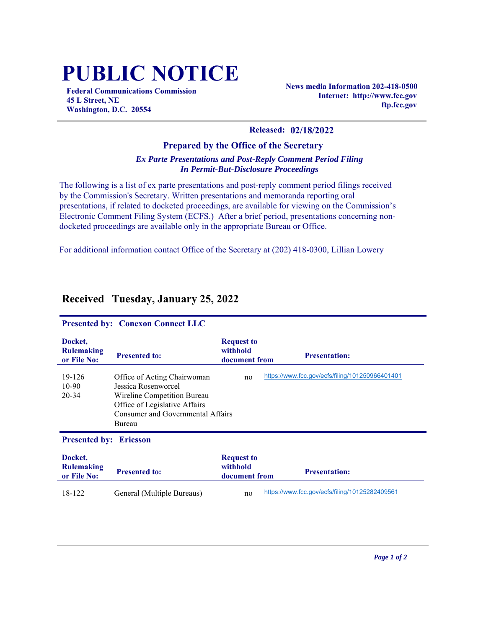## **PUBLIC NOTICE**

**Federal Communications Commission 45 L Street, NE Washington, D.C. 20554**

**News media Information 202-418-0500 Internet: http://www.fcc.gov ftp.fcc.gov**

## **Released: 02/18/2022**

## **Prepared by the Office of the Secretary** *Ex Parte Presentations and Post-Reply Comment Period Filing In Permit-But-Disclosure Proceedings*

The following is a list of ex parte presentations and post-reply comment period filings received by the Commission's Secretary. Written presentations and memoranda reporting oral presentations, if related to docketed proceedings, are available for viewing on the Commission's Electronic Comment Filing System (ECFS.) After a brief period, presentations concerning nondocketed proceedings are available only in the appropriate Bureau or Office.

For additional information contact Office of the Secretary at (202) 418-0300, Lillian Lowery

| <b>Presented by: Conexon Connect LLC</b>    |                                                                                                                                                                   |                                                |                                                 |  |  |
|---------------------------------------------|-------------------------------------------------------------------------------------------------------------------------------------------------------------------|------------------------------------------------|-------------------------------------------------|--|--|
| Docket.<br><b>Rulemaking</b><br>or File No: | <b>Presented to:</b>                                                                                                                                              | <b>Request to</b><br>withhold<br>document from | <b>Presentation:</b>                            |  |  |
| 19-126<br>$10-90$<br>20-34                  | Office of Acting Chairwoman<br>Jessica Rosenworcel<br>Wireline Competition Bureau<br>Office of Legislative Affairs<br>Consumer and Governmental Affairs<br>Bureau | no                                             | https://www.fcc.gov/ecfs/filing/101250966401401 |  |  |
| <b>Presented by:</b><br><b>Ericsson</b>     |                                                                                                                                                                   |                                                |                                                 |  |  |
| Docket,<br><b>Rulemaking</b><br>or File No: | <b>Presented to:</b>                                                                                                                                              | <b>Request to</b><br>withhold<br>document from | <b>Presentation:</b>                            |  |  |
| 18-122                                      | General (Multiple Bureaus)                                                                                                                                        | no                                             | https://www.fcc.gov/ecfs/filing/10125282409561  |  |  |

## **Received Tuesday, January 25, 2022**